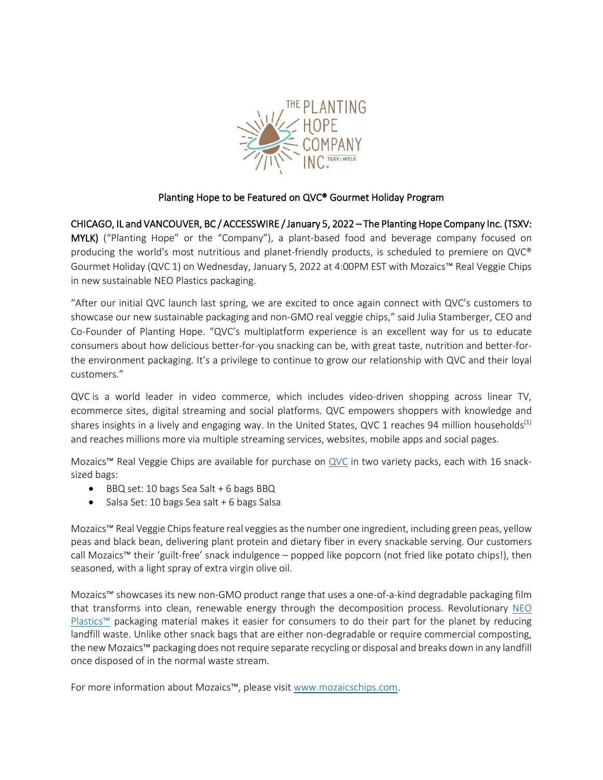

# Planting Hope to be Featured on QVC® Gourmet Holiday Program

CHICAGO, IL and VANCOUVER, BC / ACCESSWIRE / January 5, 2022 – The Planting Hope Company Inc. (TSXV: MYLK) ("Planting Hope" or the "Company"), a plant-based food and beverage company focused on producing the world's most nutritious and planet-friendly products, is scheduled to premiere on QVC® Gourmet Holiday (QVC 1) on Wednesday, January 5, 2022 at 4:00PM EST with Mozaics™ Real Veggie Chips in new sustainable NEO Plastics packaging.

"After our initial QVC launch last spring, we are excited to once again connect with QVC's customers to showcase our new sustainable packaging and non-GMO real veggie chips," said Julia Stamberger, CEO and Co-Founder of Planting Hope. "QVC's multiplatform experience is an excellent way for us to educate consumers about how delicious better-for-you snacking can be, with great taste, nutrition and better-forthe environment packaging. It's a privilege to continue to grow our relationship with QVC and their loyal customers."

QVC is a world leader in video commerce, which includes video-driven shopping across linear TV, ecommerce sites, digital streaming and social platforms. QVC empowers shoppers with knowledge and shares insights in a lively and engaging way. In the United States, QVC 1 reaches 94 million households<sup>(1)</sup> and reaches millions more via multiple streaming services, websites, mobile apps and social pages.

Mozaics™ Real Veggie Chips are available for purchase on [QVC](https://www.qvc.com/Mozaics-Popped-Chips-16-Snack-Sized-Bags-Variety-Pack.product.M71686.html?sc=NAVLIST) in two variety packs, each with 16 snacksized bags:

- BBQ set: 10 bags Sea Salt + 6 bags BBQ
- Salsa Set: 10 bags Sea salt + 6 bags Salsa

Mozaics™ Real Veggie Chips feature real veggies as the number one ingredient, including green peas, yellow peas and black bean, delivering plant protein and dietary fiber in every snackable serving. Our customers call Mozaics™ their 'guilt-free' snack indulgence – popped like popcorn (not fried like potato chips!), then seasoned, with a light spray of extra virgin olive oil.

Mozaics™ showcases its new non-GMO product range that uses a one-of-a-kind degradable packaging film that transforms into clean, renewable energy through the decomposition process. Revolutionary [NEO](https://aripack.com/neo-plastics/)  [Plastics™](https://aripack.com/neo-plastics/) packaging material makes it easier for consumers to do their part for the planet by reducing landfill waste. Unlike other snack bags that are either non-degradable or require commercial composting, the new Mozaics™packaging does not require separate recycling or disposal and breaks down in any landfill once disposed of in the normal waste stream.

For more information about Mozaics™, please visit [www.mozaicschips.com.](https://mozaicschips.com/)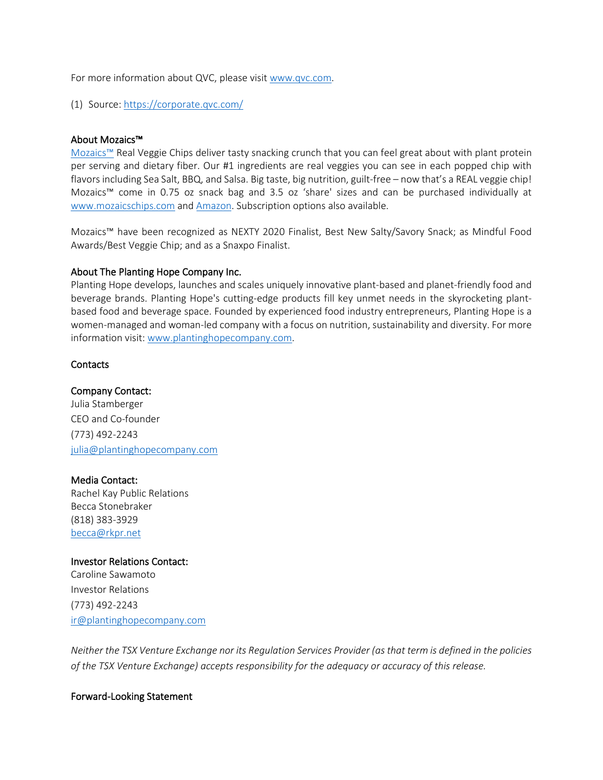For more information about QVC, please visit [www.qvc.com.](https://www.qvc.com/)

(1) Source[: https://corporate.qvc.com/](https://corporate.qvc.com/)

# About Mozaics™

[Mozaics™](https://mozaicschips.com/) Real Veggie Chips deliver tasty snacking crunch that you can feel great about with plant protein per serving and dietary fiber. Our #1 ingredients are real veggies you can see in each popped chip with flavors including Sea Salt, BBQ, and Salsa. Big taste, big nutrition, guilt-free – now that's a REAL veggie chip! Mozaics™ come in 0.75 oz snack bag and 3.5 oz 'share' sizes and can be purchased individually at [www.mozaicschips.com](https://mozaicschips.com/) and [Amazon.](https://www.amazon.com/stores/MozaicsChips/page/A1517AEB-9CA8-4238-8246-83EF22ECEC5D?store_ref=BLP_HW_A5CB0753-C23C-4D33-82B0-4FD7101C984C) Subscription options also available.

Mozaics™ have been recognized as NEXTY 2020 Finalist, Best New Salty/Savory Snack; as Mindful Food Awards/Best Veggie Chip; and as a Snaxpo Finalist.

# About The Planting Hope Company Inc.

Planting Hope develops, launches and scales uniquely innovative plant-based and planet-friendly food and beverage brands. Planting Hope's cutting-edge products fill key unmet needs in the skyrocketing plantbased food and beverage space. Founded by experienced food industry entrepreneurs, Planting Hope is a women-managed and woman-led company with a focus on nutrition, sustainability and diversity. For more information visit: [www.plantinghopecompany.com.](http://www.plantinghopecompany.com/)

# **Contacts**

# Company Contact:

Julia Stamberger CEO and Co-founder (773) 492-2243 [julia@plantinghopecompany.com](mailto:julia@plantinghopecompany.com)

### Media Contact:

Rachel Kay Public Relations Becca Stonebraker (818) 383-3929 [becca@rkpr.net](mailto:becca@rkpr.net)

### Investor Relations Contact:

Caroline Sawamoto Investor Relations (773) 492-2243 [ir@plantinghopecompany.com](mailto:ir@plantinghopecompany.com)

*Neither the TSX Venture Exchange nor its Regulation Services Provider (as that term is defined in the policies of the TSX Venture Exchange) accepts responsibility for the adequacy or accuracy of this release.*

### Forward-Looking Statement